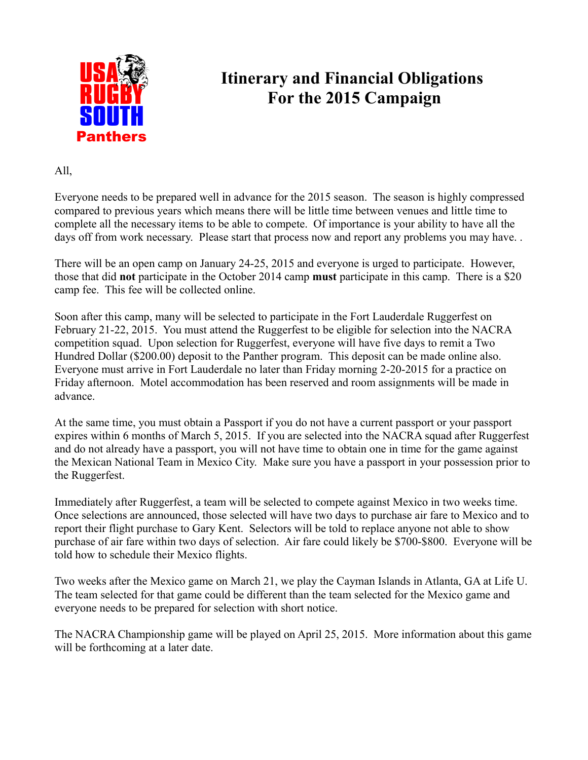

## **Itinerary and Financial Obligations For the 2015 Campaign**

All,

Everyone needs to be prepared well in advance for the 2015 season. The season is highly compressed compared to previous years which means there will be little time between venues and little time to complete all the necessary items to be able to compete. Of importance is your ability to have all the days off from work necessary. Please start that process now and report any problems you may have...

There will be an open camp on January 24-25, 2015 and everyone is urged to participate. However, those that did **not** participate in the October 2014 camp **must** participate in this camp. There is a \$20 camp fee. This fee will be collected online.

Soon after this camp, many will be selected to participate in the Fort Lauderdale Ruggerfest on February 21-22, 2015. You must attend the Ruggerfest to be eligible for selection into the NACRA competition squad. Upon selection for Ruggerfest, everyone will have five days to remit a Two Hundred Dollar (\$200.00) deposit to the Panther program. This deposit can be made online also. Everyone must arrive in Fort Lauderdale no later than Friday morning 2-20-2015 for a practice on Friday afternoon. Motel accommodation has been reserved and room assignments will be made in advance.

At the same time, you must obtain a Passport if you do not have a current passport or your passport expires within 6 months of March 5, 2015. If you are selected into the NACRA squad after Ruggerfest and do not already have a passport, you will not have time to obtain one in time for the game against the Mexican National Team in Mexico City. Make sure you have a passport in your possession prior to the Ruggerfest.

Immediately after Ruggerfest, a team will be selected to compete against Mexico in two weeks time. Once selections are announced, those selected will have two days to purchase air fare to Mexico and to report their flight purchase to Gary Kent. Selectors will be told to replace anyone not able to show purchase of air fare within two days of selection. Air fare could likely be \$700-\$800. Everyone will be told how to schedule their Mexico flights.

Two weeks after the Mexico game on March 21, we play the Cayman Islands in Atlanta, GA at Life U. The team selected for that game could be different than the team selected for the Mexico game and everyone needs to be prepared for selection with short notice.

The NACRA Championship game will be played on April 25, 2015. More information about this game will be forthcoming at a later date.